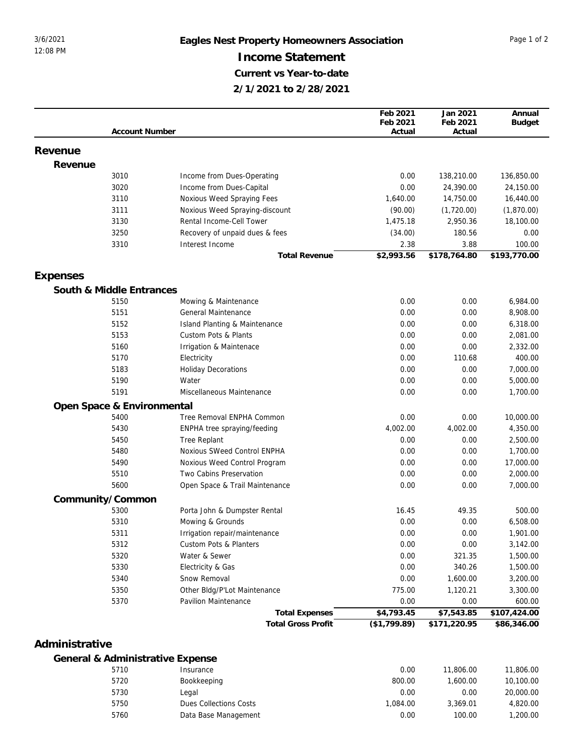## 3/6/2021 **Eagles Nest Property Homeowners Association** Page 1 of 2 **Income Statement Current vs Year-to-date 2/1/2021 to 2/28/2021**

|                          | <b>Account Number</b>            |                           | Feb 2021<br>Feb 2021<br>Actual | Jan 2021<br>Feb 2021<br>Actual | Annual<br><b>Budget</b> |
|--------------------------|----------------------------------|---------------------------|--------------------------------|--------------------------------|-------------------------|
|                          |                                  |                           |                                |                                |                         |
| Revenue                  |                                  |                           |                                |                                |                         |
| Revenue                  |                                  |                           |                                |                                |                         |
| 3010                     | Income from Dues-Operating       |                           | 0.00                           | 138,210.00                     | 136,850.00              |
| 3020                     | Income from Dues-Capital         |                           | 0.00                           | 24,390.00                      | 24,150.00               |
| 3110                     | Noxious Weed Spraying Fees       |                           | 1,640.00                       | 14,750.00                      | 16,440.00               |
| 3111                     | Noxious Weed Spraying-discount   |                           | (90.00)                        | (1,720.00)                     | (1,870.00)              |
| 3130                     | Rental Income-Cell Tower         |                           | 1,475.18                       | 2,950.36                       | 18,100.00               |
| 3250                     | Recovery of unpaid dues & fees   |                           | (34.00)                        | 180.56                         | 0.00                    |
| 3310                     | Interest Income                  |                           | 2.38                           | 3.88                           | 100.00                  |
|                          |                                  | <b>Total Revenue</b>      | \$2,993.56                     | \$178,764.80                   | \$193,770.00            |
| Expenses                 |                                  |                           |                                |                                |                         |
| South & Middle Entrances |                                  |                           |                                |                                |                         |
| 5150                     | Mowing & Maintenance             |                           | 0.00                           | 0.00                           | 6,984.00                |
| 5151                     | <b>General Maintenance</b>       |                           | 0.00                           | 0.00                           | 8,908.00                |
| 5152                     | Island Planting & Maintenance    |                           | 0.00                           | 0.00                           | 6,318.00                |
| 5153                     | <b>Custom Pots &amp; Plants</b>  |                           | 0.00                           | 0.00                           | 2,081.00                |
| 5160                     | Irrigation & Maintenace          |                           | 0.00                           | 0.00                           | 2,332.00                |
| 5170                     | Electricity                      |                           | 0.00                           | 110.68                         | 400.00                  |
| 5183                     | <b>Holiday Decorations</b>       |                           | 0.00                           | 0.00                           | 7,000.00                |
| 5190                     | Water                            |                           | 0.00                           | 0.00                           | 5,000.00                |
| 5191                     | Miscellaneous Maintenance        |                           | 0.00                           | 0.00                           | 1,700.00                |
|                          | Open Space & Environmental       |                           |                                |                                |                         |
| 5400                     | Tree Removal ENPHA Common        |                           | 0.00                           | 0.00                           | 10,000.00               |
| 5430                     | ENPHA tree spraying/feeding      |                           | 4,002.00                       | 4,002.00                       | 4,350.00                |
| 5450                     | Tree Replant                     |                           | 0.00                           | 0.00                           | 2,500.00                |
| 5480                     | Noxious SWeed Control ENPHA      |                           | 0.00                           | 0.00                           | 1,700.00                |
| 5490                     | Noxious Weed Control Program     |                           | 0.00                           | 0.00                           | 17,000.00               |
| 5510                     | Two Cabins Preservation          |                           | 0.00                           | 0.00                           | 2,000.00                |
| 5600                     | Open Space & Trail Maintenance   |                           | 0.00                           | 0.00                           | 7,000.00                |
| Community/Common         |                                  |                           |                                |                                |                         |
| 5300                     | Porta John & Dumpster Rental     |                           | 16.45                          | 49.35                          | 500.00                  |
| 5310                     | Mowing & Grounds                 |                           | 0.00                           | 0.00                           | 6,508.00                |
| 5311                     | Irrigation repair/maintenance    |                           | 0.00                           | 0.00                           | 1,901.00                |
| 5312                     | Custom Pots & Planters           |                           | 0.00                           | 0.00                           | 3,142.00                |
| 5320                     | Water & Sewer                    |                           | 0.00                           | 321.35                         | 1,500.00                |
| 5330                     | Electricity & Gas                |                           | 0.00                           | 340.26                         | 1,500.00                |
| 5340                     | Snow Removal                     |                           | 0.00                           | 1,600.00                       | 3,200.00                |
| 5350                     | Other Bldg/P'Lot Maintenance     |                           | 775.00                         | 1,120.21                       | 3,300.00                |
| 5370                     | Pavilion Maintenance             |                           | 0.00                           | 0.00                           | 600.00                  |
|                          |                                  | <b>Total Expenses</b>     | \$4,793.45                     | \$7,543.85                     | \$107,424.00            |
|                          |                                  | <b>Total Gross Profit</b> | (\$1,799.89)                   | \$171,220.95                   | \$86,346.00             |
|                          |                                  |                           |                                |                                |                         |
| Administrative           |                                  |                           |                                |                                |                         |
|                          | General & Administrative Expense |                           |                                |                                | 0 <sup>0</sup>          |

|      | $\alpha$ , $\alpha$ is independent of $\alpha$ . Experise |          |           |           |
|------|-----------------------------------------------------------|----------|-----------|-----------|
| 5710 | Insurance                                                 | 0.00     | 11,806.00 | 11,806.00 |
| 5720 | Bookkeeping                                               | 800.00   | .600.00   | 10,100.00 |
| 5730 | Legal                                                     | 0.00     | 0.00      | 20,000.00 |
| 5750 | Dues Collections Costs                                    | 1.084.00 | 3.369.01  | 4,820,00  |
| 5760 | Data Base Management                                      | 0.00     | 100.00    | 1,200.00  |
|      |                                                           |          |           |           |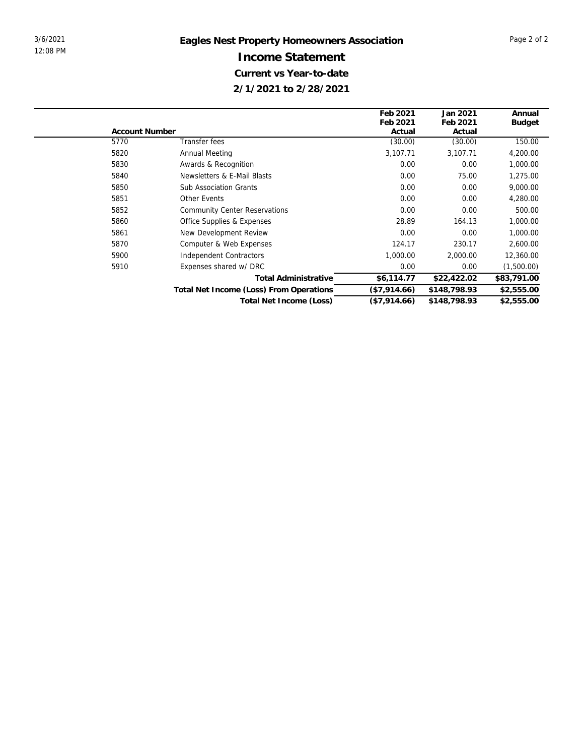|                       |                                         | Feb 2021     | Jan 2021     | Annual        |
|-----------------------|-----------------------------------------|--------------|--------------|---------------|
|                       |                                         | Feb 2021     | Feb 2021     | <b>Budget</b> |
| <b>Account Number</b> |                                         | Actual       | Actual       |               |
| 5770                  | Transfer fees                           | (30.00)      | (30.00)      | 150.00        |
| 5820                  | Annual Meeting                          | 3,107.71     | 3,107.71     | 4,200.00      |
| 5830                  | Awards & Recognition                    | 0.00         | 0.00         | 1,000.00      |
| 5840                  | Newsletters & E-Mail Blasts             | 0.00         | 75.00        | 1,275.00      |
| 5850                  | <b>Sub Association Grants</b>           | 0.00         | 0.00         | 9,000.00      |
| 5851                  | <b>Other Events</b>                     | 0.00         | 0.00         | 4,280.00      |
| 5852                  | <b>Community Center Reservations</b>    | 0.00         | 0.00         | 500.00        |
| 5860                  | Office Supplies & Expenses              | 28.89        | 164.13       | 1,000.00      |
| 5861                  | New Development Review                  | 0.00         | 0.00         | 1,000.00      |
| 5870                  | Computer & Web Expenses                 | 124.17       | 230.17       | 2,600.00      |
| 5900                  | Independent Contractors                 | 1,000.00     | 2,000.00     | 12,360.00     |
| 5910                  | Expenses shared w/ DRC                  | 0.00         | 0.00         | (1,500.00)    |
|                       | <b>Total Administrative</b>             | \$6,114.77   | \$22,422.02  | \$83,791.00   |
|                       | Total Net Income (Loss) From Operations | (\$7,914.66) | \$148,798.93 | \$2,555.00    |
|                       | Total Net Income (Loss)                 | (\$7,914.66) | \$148,798.93 | \$2,555.00    |
|                       |                                         |              |              |               |